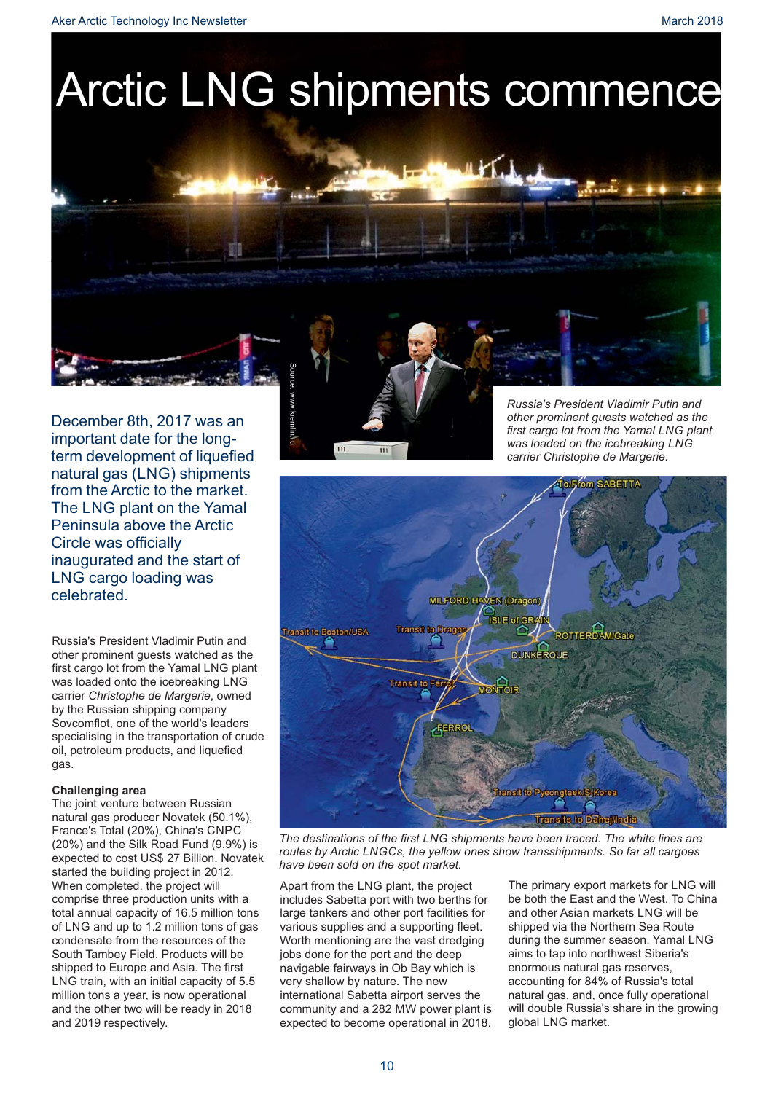Aker Arctic Technology Inc Newsletter March 2018 and the United States of the March 2018

# Arctic LNG shipments commence

December 8th, 2017 was an important date for the longterm development of liquefied natural gas (LNG) shipments from the Arctic to the market. The LNG plant on the Yamal Peninsula above the Arctic Circle was officially inaugurated and the start of LNG cargo loading was celebrated.

Russia's President Vladimir Putin and other prominent guests watched as the first cargo lot from the Yamal LNG plant was loaded onto the icebreaking LNG carrier Christophe de Margerie, owned by the Russian shipping company Sovcomflot, one of the world's leaders specialising in the transportation of crude oil, petroleum products, and liquefied gas.

## **Challenging area**

The joint venture between Russian natural gas producer Novatek (50.1%), France's Total (20%), China's CNPC (20%) and the Silk Road Fund (9.9%) is expected to cost US\$ 27 Billion. Novatek started the building project in 2012. When completed, the project will comprise three production units with a total annual capacity of 16.5 million tons of LNG and up to 1.2 million tons of gas condensate from the resources of the South Tambey Field. Products will be shipped to Europe and Asia. The first LNG train, with an initial capacity of 5.5 million tons a year, is now operational and the other two will be ready in 2018 and 2019 respectively.

Source: www.kremlin.ru

*Russia's President Vladimir Putin and other prominent guests watched as the first cargo lot from the Yamal LNG plant was loaded on the icebreaking LNG carrier Christophe de Margerie.*



*The destinations of the first LNG shipments have been traced. The white lines are routes by Arctic LNGCs, the yellow ones show transshipments. So far all cargoes have been sold on the spot market.* 

Apart from the LNG plant, the project includes Sabetta port with two berths for large tankers and other port facilities for various supplies and a supporting fleet. Worth mentioning are the vast dredging jobs done for the port and the deep navigable fairways in Ob Bay which is very shallow by nature. The new international Sabetta airport serves the community and a 282 MW power plant is expected to become operational in 2018.

The primary export markets for LNG will be both the East and the West. To China and other Asian markets LNG will be shipped via the Northern Sea Route during the summer season. Yamal LNG aims to tap into northwest Siberia's enormous natural gas reserves, accounting for 84% of Russia's total natural gas, and, once fully operational will double Russia's share in the growing global LNG market.